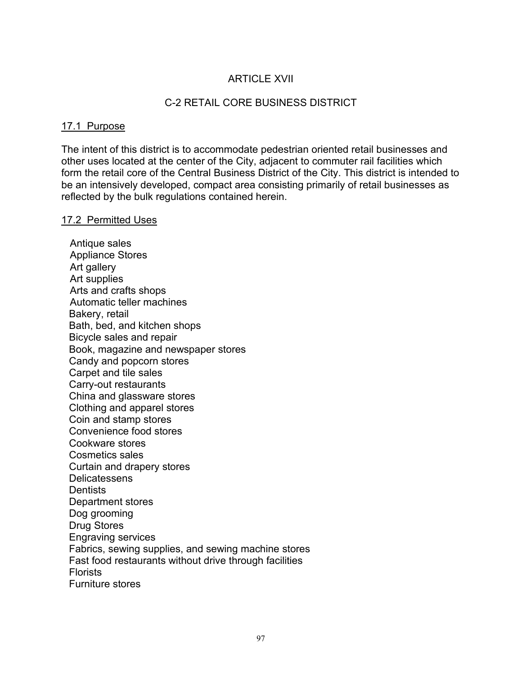# **ARTICLE XVII**

### C-2 RETAIL CORE BUSINESS DISTRICT

### 17.1 Purpose

The intent of this district is to accommodate pedestrian oriented retail businesses and other uses located at the center of the City, adjacent to commuter rail facilities which form the retail core of the Central Business District of the City. This district is intended to be an intensively developed, compact area consisting primarily of retail businesses as reflected by the bulk regulations contained herein.

#### 17.2 Permitted Uses

 Antique sales Appliance Stores Art gallery Art supplies Arts and crafts shops Automatic teller machines Bakery, retail Bath, bed, and kitchen shops Bicycle sales and repair Book, magazine and newspaper stores Candy and popcorn stores Carpet and tile sales Carry-out restaurants China and glassware stores Clothing and apparel stores Coin and stamp stores Convenience food stores Cookware stores Cosmetics sales Curtain and drapery stores **Delicatessens Dentists** Department stores Dog grooming Drug Stores Engraving services Fabrics, sewing supplies, and sewing machine stores Fast food restaurants without drive through facilities **Florists** Furniture stores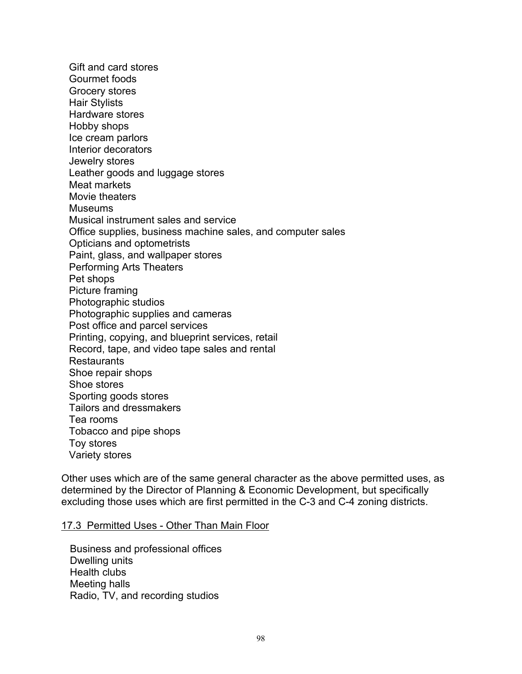Gift and card stores Gourmet foods Grocery stores Hair Stylists Hardware stores Hobby shops Ice cream parlors Interior decorators Jewelry stores Leather goods and luggage stores Meat markets Movie theaters **Museums** Musical instrument sales and service Office supplies, business machine sales, and computer sales Opticians and optometrists Paint, glass, and wallpaper stores Performing Arts Theaters Pet shops Picture framing Photographic studios Photographic supplies and cameras Post office and parcel services Printing, copying, and blueprint services, retail Record, tape, and video tape sales and rental **Restaurants** Shoe repair shops Shoe stores Sporting goods stores Tailors and dressmakers Tea rooms Tobacco and pipe shops Toy stores Variety stores

Other uses which are of the same general character as the above permitted uses, as determined by the Director of Planning & Economic Development, but specifically excluding those uses which are first permitted in the C-3 and C-4 zoning districts.

#### 17.3 Permitted Uses - Other Than Main Floor

 Business and professional offices Dwelling units Health clubs Meeting halls Radio, TV, and recording studios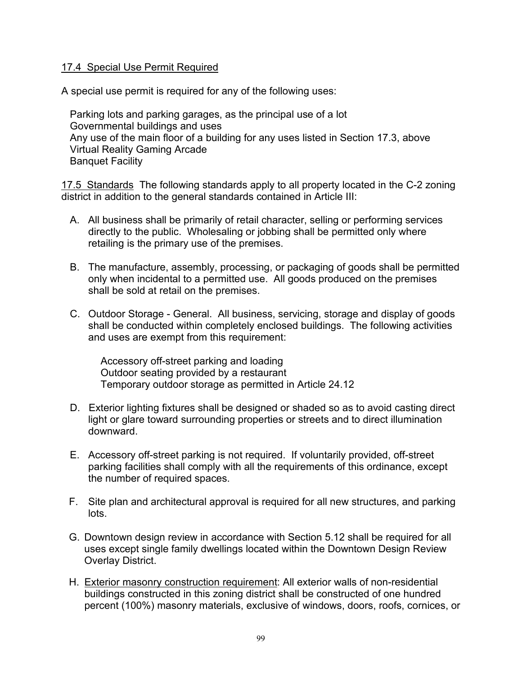## 17.4 Special Use Permit Required

A special use permit is required for any of the following uses:

 Parking lots and parking garages, as the principal use of a lot Governmental buildings and uses Any use of the main floor of a building for any uses listed in Section 17.3, above Virtual Reality Gaming Arcade Banquet Facility

17.5 Standards The following standards apply to all property located in the C-2 zoning district in addition to the general standards contained in Article III:

- A. All business shall be primarily of retail character, selling or performing services directly to the public. Wholesaling or jobbing shall be permitted only where retailing is the primary use of the premises.
- B. The manufacture, assembly, processing, or packaging of goods shall be permitted only when incidental to a permitted use. All goods produced on the premises shall be sold at retail on the premises.
- C. Outdoor Storage General. All business, servicing, storage and display of goods shall be conducted within completely enclosed buildings. The following activities and uses are exempt from this requirement:

 Accessory off-street parking and loading Outdoor seating provided by a restaurant Temporary outdoor storage as permitted in Article 24.12

- D. Exterior lighting fixtures shall be designed or shaded so as to avoid casting direct light or glare toward surrounding properties or streets and to direct illumination downward.
- E. Accessory off-street parking is not required. If voluntarily provided, off-street parking facilities shall comply with all the requirements of this ordinance, except the number of required spaces.
- F. Site plan and architectural approval is required for all new structures, and parking lots.
- G. Downtown design review in accordance with Section 5.12 shall be required for all uses except single family dwellings located within the Downtown Design Review Overlay District.
- H. Exterior masonry construction requirement: All exterior walls of non-residential buildings constructed in this zoning district shall be constructed of one hundred percent (100%) masonry materials, exclusive of windows, doors, roofs, cornices, or